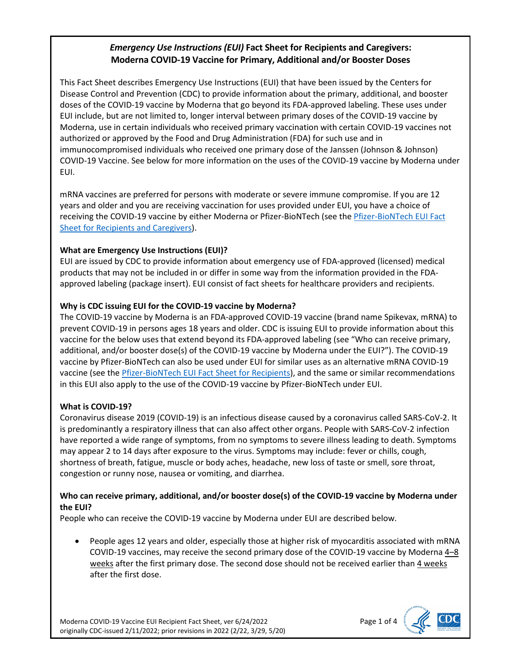# *Emergency Use Instructions (EUI)* **Fact Sheet for Recipients and Caregivers: Moderna COVID-19 Vaccine for Primary, Additional and/or Booster Doses**

This Fact Sheet describes Emergency Use Instructions (EUI) that have been issued by the Centers for Disease Control and Prevention (CDC) to provide information about the primary, additional, and booster doses of the COVID-19 vaccine by Moderna that go beyond its FDA-approved labeling. These uses under EUI include, but are not limited to, longer interval between primary doses of the COVID-19 vaccine by Moderna, use in certain individuals who received primary vaccination with certain COVID-19 vaccines not authorized or approved by the Food and Drug Administration (FDA) for such use and in immunocompromised individuals who received one primary dose of the Janssen (Johnson & Johnson) COVID-19 Vaccine. See below for more information on the uses of the COVID-19 vaccine by Moderna under EUI.

mRNA vaccines are preferred for persons with moderate or severe immune compromise. If you are 12 years and older and you are receiving vaccination for uses provided under EUI, you have a choice of receiving the COVID-19 vaccine by either Moderna or Pfizer-BioNTech (see th[e Pfizer-BioNTech EUI Fact](https://www.cdc.gov/vaccines/covid-19/eui/downloads/Pfizer-Caregiver.pdf)  [Sheet for Recipients and Caregivers\)](https://www.cdc.gov/vaccines/covid-19/eui/downloads/Pfizer-Caregiver.pdf).

## **What are Emergency Use Instructions (EUI)?**

EUI are issued by CDC to provide information about emergency use of FDA-approved (licensed) medical products that may not be included in or differ in some way from the information provided in the FDAapproved labeling (package insert). EUI consist of fact sheets for healthcare providers and recipients.

## **Why is CDC issuing EUI for the COVID-19 vaccine by Moderna?**

The COVID-19 vaccine by Moderna is an FDA-approved COVID-19 vaccine (brand name Spikevax, mRNA) to prevent COVID-19 in persons ages 18 years and older. CDC is issuing EUI to provide information about this vaccine for the below uses that extend beyond its FDA-approved labeling (see "Who can receive primary, additional, and/or booster dose(s) of the COVID-19 vaccine by Moderna under the EUI?"). The COVID-19 vaccine by Pfizer-BioNTech can also be used under EUI for similar uses as an alternative mRNA COVID-19 vaccine (see the Pfizer-BioNTech [EUI Fact Sheet for Recipients\)](https://www.cdc.gov/vaccines/covid-19/eui/downloads/Pfizer-Caregiver.pdf), and the same or similar recommendations in this EUI also apply to the use of the COVID-19 vaccine by Pfizer-BioNTech under EUI.

## **What is COVID-19?**

Coronavirus disease 2019 (COVID-19) is an infectious disease caused by a coronavirus called SARS-CoV-2. It is predominantly a respiratory illness that can also affect other organs. People with SARS-CoV-2 infection have reported a wide range of symptoms, from no symptoms to severe illness leading to death. Symptoms may appear 2 to 14 days after exposure to the virus. Symptoms may include: fever or chills, cough, shortness of breath, fatigue, muscle or body aches, headache, new loss of taste or smell, sore throat, congestion or runny nose, nausea or vomiting, and diarrhea.

## **Who can receive primary, additional, and/or booster dose(s) of the COVID-19 vaccine by Moderna under the EUI?**

People who can receive the COVID-19 vaccine by Moderna under EUI are described below.

• People ages 12 years and older, especially those at higher risk of myocarditis associated with mRNA COVID-19 vaccines, may receive the second primary dose of the COVID-19 vaccine by Moderna  $4-8$ weeks after the first primary dose. The second dose should not be received earlier than 4 weeks after the first dose.

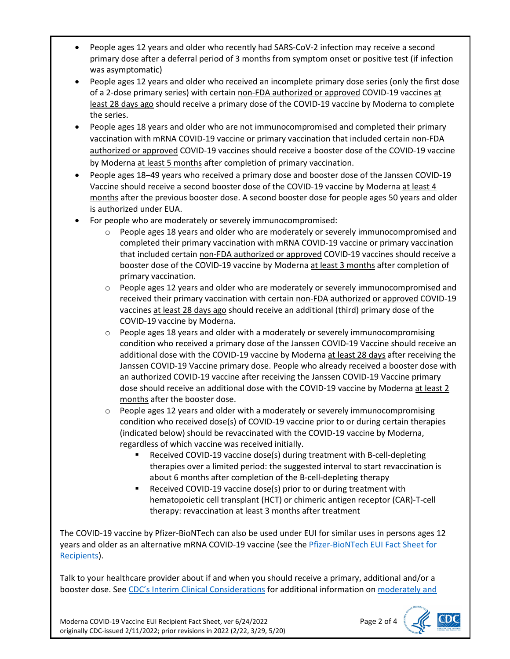- People ages 12 years and older who recently had SARS-CoV-2 infection may receive a second primary dose after a deferral period of 3 months from symptom onset or positive test (if infection was asymptomatic)
- People ages 12 years and older who received an incomplete primary dose series (only the first dose of a 2-dose primary series) with certain non-FDA authorized or approved COVID-19 vaccines at least 28 days ago should receive a primary dose of the COVID-19 vaccine by Moderna to complete the series.
- People ages 18 years and older who are not immunocompromised and completed their primary vaccination with mRNA COVID-19 vaccine or primary vaccination that included certain non-FDA authorized or approved COVID-19 vaccines should receive a booster dose of the COVID-19 vaccine by Moderna at least 5 months after completion of primary vaccination.
- People ages 18–49 years who received a primary dose and booster dose of the Janssen COVID-19 Vaccine should receive a second booster dose of the COVID-19 vaccine by Moderna at least 4 months after the previous booster dose. A second booster dose for people ages 50 years and older is authorized under EUA.
- For people who are moderately or severely immunocompromised:
	- $\circ$  People ages 18 years and older who are moderately or severely immunocompromised and completed their primary vaccination with mRNA COVID-19 vaccine or primary vaccination that included certain non-FDA authorized or approved COVID-19 vaccines should receive a booster dose of the COVID-19 vaccine by Moderna at least 3 months after completion of primary vaccination.
	- $\circ$  People ages 12 years and older who are moderately or severely immunocompromised and received their primary vaccination with certain non-FDA authorized or approved COVID-19 vaccines at least 28 days ago should receive an additional (third) primary dose of the COVID-19 vaccine by Moderna.
	- o People ages 18 years and older with a moderately or severely immunocompromising condition who received a primary dose of the Janssen COVID-19 Vaccine should receive an additional dose with the COVID-19 vaccine by Moderna at least 28 days after receiving the Janssen COVID-19 Vaccine primary dose. People who already received a booster dose with an authorized COVID-19 vaccine after receiving the Janssen COVID-19 Vaccine primary dose should receive an additional dose with the COVID-19 vaccine by Moderna at least 2 months after the booster dose.
	- $\circ$  People ages 12 years and older with a moderately or severely immunocompromising condition who received dose(s) of COVID-19 vaccine prior to or during certain therapies (indicated below) should be revaccinated with the COVID-19 vaccine by Moderna, regardless of which vaccine was received initially.
		- Received COVID-19 vaccine dose(s) during treatment with B-cell-depleting therapies over a limited period: the suggested interval to start revaccination is about 6 months after completion of the B-cell-depleting therapy
		- Received COVID-19 vaccine dose(s) prior to or during treatment with hematopoietic cell transplant (HCT) or chimeric antigen receptor (CAR)-T-cell therapy: revaccination at least 3 months after treatment

The COVID-19 vaccine by Pfizer-BioNTech can also be used under EUI for similar uses in persons ages 12 years and older as an alternative mRNA COVID-19 vaccine (see the [Pfizer-BioNTech EUI Fact Sheet for](https://www.cdc.gov/vaccines/covid-19/eui/downloads/Pfizer-Caregiver.pdf)  [Recipients\)](https://www.cdc.gov/vaccines/covid-19/eui/downloads/Pfizer-Caregiver.pdf).

Talk to your healthcare provider about if and when you should receive a primary, additional and/or a booster dose. See [CDC's Interim Clinical Considerations](https://www.cdc.gov/vaccines/covid-19/clinical-considerations/covid-19-vaccines-us.html) for additional information o[n moderately and](https://www.cdc.gov/vaccines/covid-19/clinical-considerations/interim-considerations-us.html#immunocompromised) 

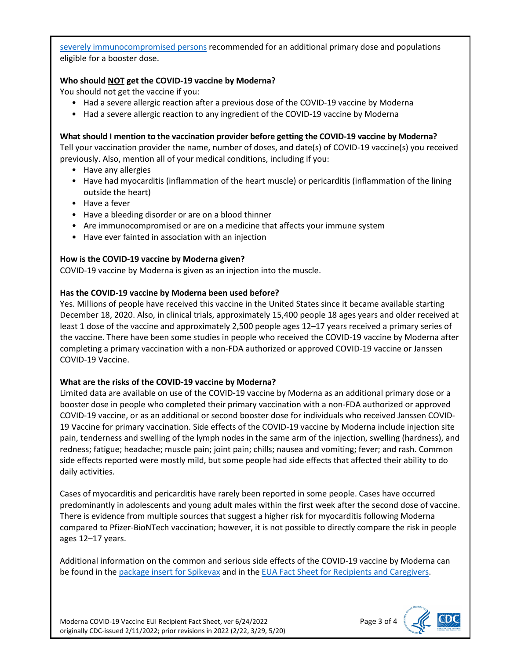[severely immunocompromised persons](https://www.cdc.gov/vaccines/covid-19/clinical-considerations/interim-considerations-us.html#immunocompromised) recommended for an additional primary dose and populations eligible for a booster dose.

#### **Who should NOT get the COVID-19 vaccine by Moderna?**

You should not get the vaccine if you:

- Had a severe allergic reaction after a previous dose of the COVID-19 vaccine by Moderna
- Had a severe allergic reaction to any ingredient of the COVID-19 vaccine by Moderna

**What should I mention to the vaccination provider before getting the COVID-19 vaccine by Moderna?**

Tell your vaccination provider the name, number of doses, and date(s) of COVID-19 vaccine(s) you received previously. Also, mention all of your medical conditions, including if you:

- Have any allergies
- Have had myocarditis (inflammation of the heart muscle) or pericarditis (inflammation of the lining outside the heart)
- Have a fever
- Have a bleeding disorder or are on a blood thinner
- Are immunocompromised or are on a medicine that affects your immune system
- Have ever fainted in association with an injection

#### **How is the COVID-19 vaccine by Moderna given?**

COVID-19 vaccine by Moderna is given as an injection into the muscle.

#### **Has the COVID-19 vaccine by Moderna been used before?**

Yes. Millions of people have received this vaccine in the United States since it became available starting December 18, 2020. Also, in clinical trials, approximately 15,400 people 18 ages years and older received at least 1 dose of the vaccine and approximately 2,500 people ages 12–17 years received a primary series of the vaccine. There have been some studies in people who received the COVID-19 vaccine by Moderna after completing a primary vaccination with a non-FDA authorized or approved COVID-19 vaccine or Janssen COVID-19 Vaccine.

#### **What are the risks of the COVID-19 vaccine by Moderna?**

Limited data are available on use of the COVID-19 vaccine by Moderna as an additional primary dose or a booster dose in people who completed their primary vaccination with a non-FDA authorized or approved COVID-19 vaccine, or as an additional or second booster dose for individuals who received Janssen COVID-19 Vaccine for primary vaccination. Side effects of the COVID-19 vaccine by Moderna include injection site pain, tenderness and swelling of the lymph nodes in the same arm of the injection, swelling (hardness), and redness; fatigue; headache; muscle pain; joint pain; chills; nausea and vomiting; fever; and rash. Common side effects reported were mostly mild, but some people had side effects that affected their ability to do daily activities.

Cases of myocarditis and pericarditis have rarely been reported in some people. Cases have occurred predominantly in adolescents and young adult males within the first week after the second dose of vaccine. There is evidence from multiple sources that suggest a higher risk for myocarditis following Moderna compared to Pfizer-BioNTech vaccination; however, it is not possible to directly compare the risk in people ages 12–17 years.

Additional information on the common and serious side effects of the COVID-19 vaccine by Moderna can be found in the [package insert for Spikevax](https://www.fda.gov/media/155675/download) and in the [EUA Fact Sheet for Recipients and Caregivers.](https://www.fda.gov/media/144638/download)